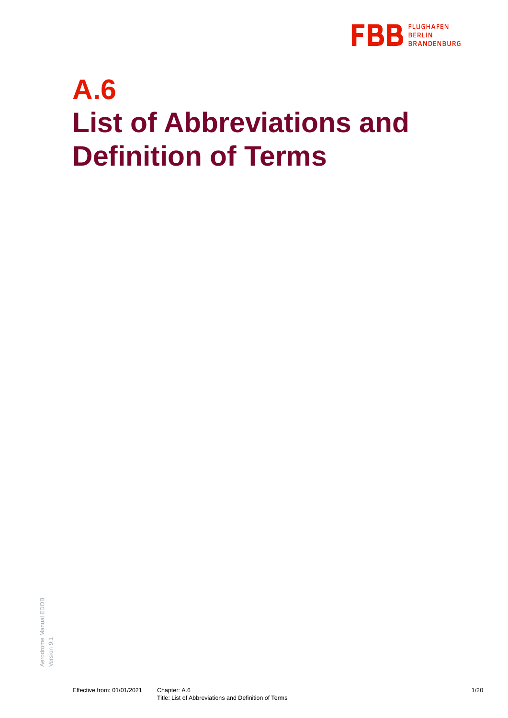

# **A.6 List of Abbreviations and Definition of Terms**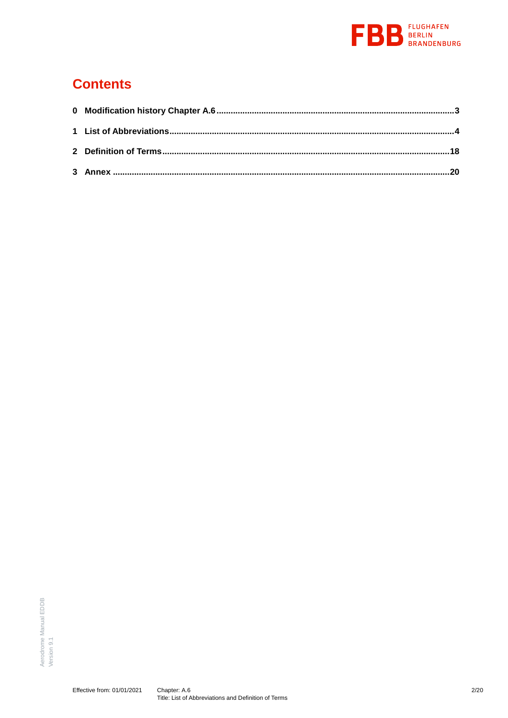

### **Contents**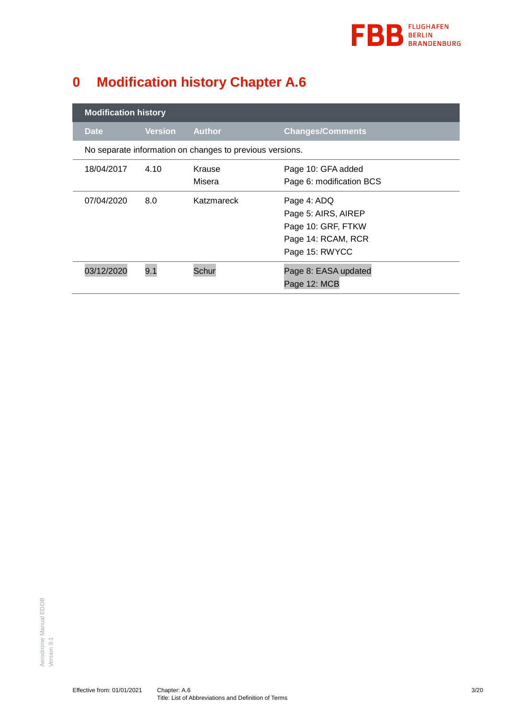

## <span id="page-2-0"></span>**0 Modification history Chapter A.6**

| <b>Modification history</b>                              |                |                  |                                                                                                  |
|----------------------------------------------------------|----------------|------------------|--------------------------------------------------------------------------------------------------|
| <b>Date</b>                                              | <b>Version</b> | <b>Author</b>    | <b>Changes/Comments</b>                                                                          |
| No separate information on changes to previous versions. |                |                  |                                                                                                  |
| 18/04/2017                                               | 4.10           | Krause<br>Misera | Page 10: GFA added<br>Page 6: modification BCS                                                   |
| 07/04/2020                                               | 8.0            | Katzmareck       | Page 4: ADQ<br>Page 5: AIRS, AIREP<br>Page 10: GRF, FTKW<br>Page 14: RCAM, RCR<br>Page 15: RWYCC |
| 03/12/2020                                               | 9.1            | Schur            | Page 8: EASA updated<br>Page 12: MCB                                                             |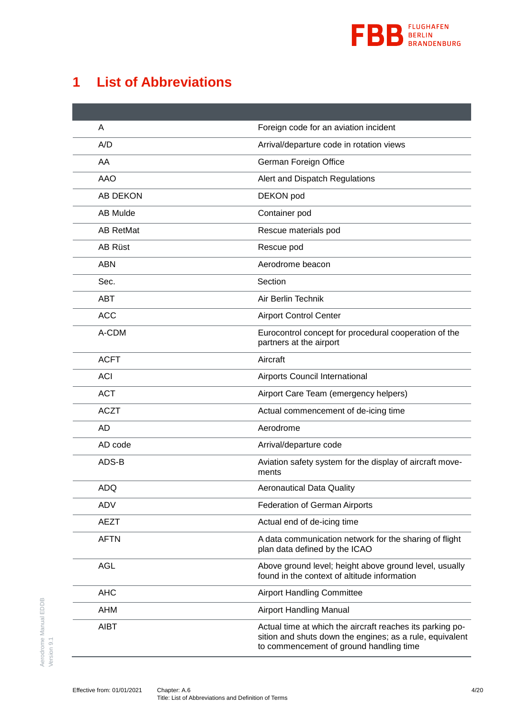

### <span id="page-3-0"></span>**1 List of Abbreviations**

| A                | Foreign code for an aviation incident                                                                                                                            |
|------------------|------------------------------------------------------------------------------------------------------------------------------------------------------------------|
| A/D              | Arrival/departure code in rotation views                                                                                                                         |
| AA               | German Foreign Office                                                                                                                                            |
| <b>AAO</b>       | Alert and Dispatch Regulations                                                                                                                                   |
| <b>AB DEKON</b>  | DEKON pod                                                                                                                                                        |
| <b>AB Mulde</b>  | Container pod                                                                                                                                                    |
| <b>AB RetMat</b> | Rescue materials pod                                                                                                                                             |
| <b>AB Rüst</b>   | Rescue pod                                                                                                                                                       |
| <b>ABN</b>       | Aerodrome beacon                                                                                                                                                 |
| Sec.             | Section                                                                                                                                                          |
| <b>ABT</b>       | Air Berlin Technik                                                                                                                                               |
| <b>ACC</b>       | <b>Airport Control Center</b>                                                                                                                                    |
| A-CDM            | Eurocontrol concept for procedural cooperation of the<br>partners at the airport                                                                                 |
| <b>ACFT</b>      | Aircraft                                                                                                                                                         |
| <b>ACI</b>       | Airports Council International                                                                                                                                   |
| <b>ACT</b>       | Airport Care Team (emergency helpers)                                                                                                                            |
| <b>ACZT</b>      | Actual commencement of de-icing time                                                                                                                             |
| AD               | Aerodrome                                                                                                                                                        |
| AD code          | Arrival/departure code                                                                                                                                           |
| ADS-B            | Aviation safety system for the display of aircraft move-<br>ments                                                                                                |
| ADQ              | <b>Aeronautical Data Quality</b>                                                                                                                                 |
| ADV              | Federation of German Airports                                                                                                                                    |
| <b>AEZT</b>      | Actual end of de-icing time                                                                                                                                      |
| <b>AFTN</b>      | A data communication network for the sharing of flight<br>plan data defined by the ICAO                                                                          |
| <b>AGL</b>       | Above ground level; height above ground level, usually<br>found in the context of altitude information                                                           |
| <b>AHC</b>       | <b>Airport Handling Committee</b>                                                                                                                                |
| <b>AHM</b>       | <b>Airport Handling Manual</b>                                                                                                                                   |
| <b>AIBT</b>      | Actual time at which the aircraft reaches its parking po-<br>sition and shuts down the engines; as a rule, equivalent<br>to commencement of ground handling time |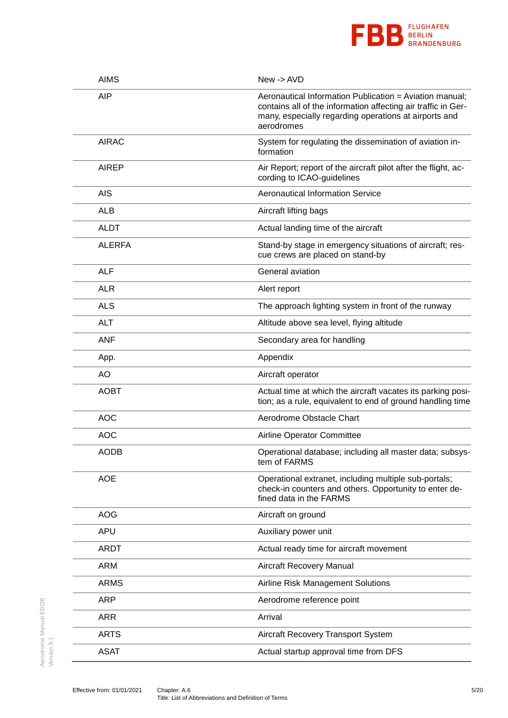

| <b>AIMS</b>   | New -> AVD                                                                                                                                                                                      |
|---------------|-------------------------------------------------------------------------------------------------------------------------------------------------------------------------------------------------|
| <b>AIP</b>    | Aeronautical Information Publication = Aviation manual;<br>contains all of the information affecting air traffic in Ger-<br>many, especially regarding operations at airports and<br>aerodromes |
| <b>AIRAC</b>  | System for regulating the dissemination of aviation in-<br>formation                                                                                                                            |
| <b>AIREP</b>  | Air Report; report of the aircraft pilot after the flight, ac-<br>cording to ICAO-guidelines                                                                                                    |
| <b>AIS</b>    | <b>Aeronautical Information Service</b>                                                                                                                                                         |
| ALB           | Aircraft lifting bags                                                                                                                                                                           |
| <b>ALDT</b>   | Actual landing time of the aircraft                                                                                                                                                             |
| <b>ALERFA</b> | Stand-by stage in emergency situations of aircraft; res-<br>cue crews are placed on stand-by                                                                                                    |
| <b>ALF</b>    | General aviation                                                                                                                                                                                |
| <b>ALR</b>    | Alert report                                                                                                                                                                                    |
| <b>ALS</b>    | The approach lighting system in front of the runway                                                                                                                                             |
| <b>ALT</b>    | Altitude above sea level, flying altitude                                                                                                                                                       |
| <b>ANF</b>    | Secondary area for handling                                                                                                                                                                     |
| App.          | Appendix                                                                                                                                                                                        |
| AO            | Aircraft operator                                                                                                                                                                               |
| <b>AOBT</b>   | Actual time at which the aircraft vacates its parking posi-<br>tion; as a rule, equivalent to end of ground handling time                                                                       |
| <b>AOC</b>    | Aerodrome Obstacle Chart                                                                                                                                                                        |
| <b>AOC</b>    | Airline Operator Committee                                                                                                                                                                      |
| <b>AODB</b>   | Operational database; including all master data; subsys-<br>tem of FARMS                                                                                                                        |
| <b>AOE</b>    | Operational extranet, including multiple sub-portals;<br>check-in counters and others. Opportunity to enter de-<br>fined data in the FARMS                                                      |
| <b>AOG</b>    | Aircraft on ground                                                                                                                                                                              |
| <b>APU</b>    | Auxiliary power unit                                                                                                                                                                            |
| <b>ARDT</b>   | Actual ready time for aircraft movement                                                                                                                                                         |
| <b>ARM</b>    | Aircraft Recovery Manual                                                                                                                                                                        |
| <b>ARMS</b>   | Airline Risk Management Solutions                                                                                                                                                               |
| <b>ARP</b>    | Aerodrome reference point                                                                                                                                                                       |
| <b>ARR</b>    | Arrival                                                                                                                                                                                         |
| <b>ARTS</b>   | Aircraft Recovery Transport System                                                                                                                                                              |
| <b>ASAT</b>   | Actual startup approval time from DFS                                                                                                                                                           |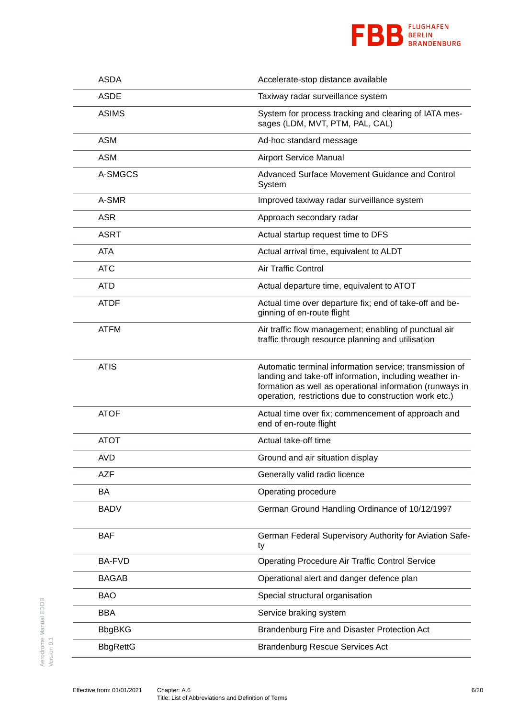

| <b>ASDA</b>     | Accelerate-stop distance available                                                                                                                                                                                                       |
|-----------------|------------------------------------------------------------------------------------------------------------------------------------------------------------------------------------------------------------------------------------------|
| <b>ASDE</b>     | Taxiway radar surveillance system                                                                                                                                                                                                        |
| <b>ASIMS</b>    | System for process tracking and clearing of IATA mes-<br>sages (LDM, MVT, PTM, PAL, CAL)                                                                                                                                                 |
| <b>ASM</b>      | Ad-hoc standard message                                                                                                                                                                                                                  |
| <b>ASM</b>      | <b>Airport Service Manual</b>                                                                                                                                                                                                            |
| A-SMGCS         | Advanced Surface Movement Guidance and Control<br>System                                                                                                                                                                                 |
| A-SMR           | Improved taxiway radar surveillance system                                                                                                                                                                                               |
| <b>ASR</b>      | Approach secondary radar                                                                                                                                                                                                                 |
| <b>ASRT</b>     | Actual startup request time to DFS                                                                                                                                                                                                       |
| <b>ATA</b>      | Actual arrival time, equivalent to ALDT                                                                                                                                                                                                  |
| <b>ATC</b>      | Air Traffic Control                                                                                                                                                                                                                      |
| <b>ATD</b>      | Actual departure time, equivalent to ATOT                                                                                                                                                                                                |
| <b>ATDF</b>     | Actual time over departure fix; end of take-off and be-<br>ginning of en-route flight                                                                                                                                                    |
| <b>ATFM</b>     | Air traffic flow management; enabling of punctual air<br>traffic through resource planning and utilisation                                                                                                                               |
| <b>ATIS</b>     | Automatic terminal information service; transmission of<br>landing and take-off information, including weather in-<br>formation as well as operational information (runways in<br>operation, restrictions due to construction work etc.) |
| <b>ATOF</b>     | Actual time over fix; commencement of approach and<br>end of en-route flight                                                                                                                                                             |
| <b>ATOT</b>     | Actual take-off time                                                                                                                                                                                                                     |
| AVD             | Ground and air situation display                                                                                                                                                                                                         |
| <b>AZF</b>      | Generally valid radio licence                                                                                                                                                                                                            |
| BA              | Operating procedure                                                                                                                                                                                                                      |
| <b>BADV</b>     | German Ground Handling Ordinance of 10/12/1997                                                                                                                                                                                           |
| <b>BAF</b>      | German Federal Supervisory Authority for Aviation Safe-<br>ty                                                                                                                                                                            |
| <b>BA-FVD</b>   | <b>Operating Procedure Air Traffic Control Service</b>                                                                                                                                                                                   |
| <b>BAGAB</b>    | Operational alert and danger defence plan                                                                                                                                                                                                |
| <b>BAO</b>      | Special structural organisation                                                                                                                                                                                                          |
| <b>BBA</b>      | Service braking system                                                                                                                                                                                                                   |
| <b>BbgBKG</b>   | Brandenburg Fire and Disaster Protection Act                                                                                                                                                                                             |
| <b>BbgRettG</b> | <b>Brandenburg Rescue Services Act</b>                                                                                                                                                                                                   |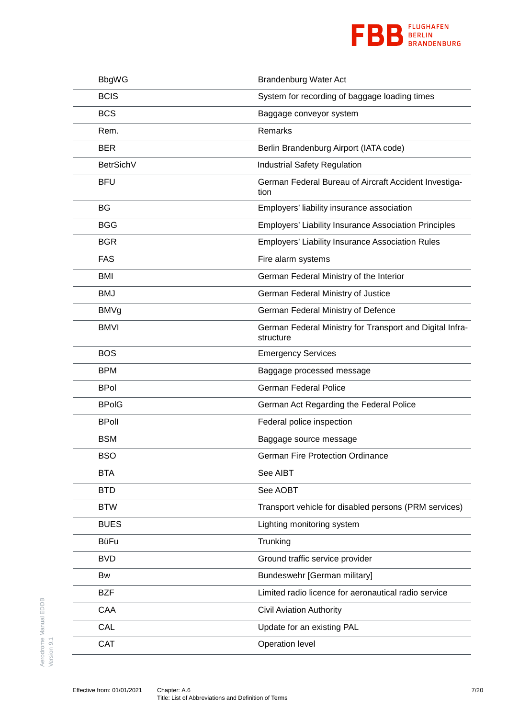

| <b>BbgWG</b> | <b>Brandenburg Water Act</b>                                          |
|--------------|-----------------------------------------------------------------------|
| <b>BCIS</b>  | System for recording of baggage loading times                         |
| <b>BCS</b>   | Baggage conveyor system                                               |
| Rem.         | Remarks                                                               |
| <b>BER</b>   | Berlin Brandenburg Airport (IATA code)                                |
| BetrSichV    | <b>Industrial Safety Regulation</b>                                   |
| <b>BFU</b>   | German Federal Bureau of Aircraft Accident Investiga-<br>tion         |
| BG           | Employers' liability insurance association                            |
| <b>BGG</b>   | <b>Employers' Liability Insurance Association Principles</b>          |
| <b>BGR</b>   | <b>Employers' Liability Insurance Association Rules</b>               |
| <b>FAS</b>   | Fire alarm systems                                                    |
| <b>BMI</b>   | German Federal Ministry of the Interior                               |
| <b>BMJ</b>   | German Federal Ministry of Justice                                    |
| <b>BMVg</b>  | German Federal Ministry of Defence                                    |
| <b>BMVI</b>  | German Federal Ministry for Transport and Digital Infra-<br>structure |
| <b>BOS</b>   | <b>Emergency Services</b>                                             |
| <b>BPM</b>   | Baggage processed message                                             |
| <b>BPol</b>  | <b>German Federal Police</b>                                          |
| <b>BPoIG</b> | German Act Regarding the Federal Police                               |
| <b>BPoll</b> | Federal police inspection                                             |
| <b>BSM</b>   | Baggage source message                                                |
| <b>BSO</b>   | <b>German Fire Protection Ordinance</b>                               |
| <b>BTA</b>   | See AIBT                                                              |
| <b>BTD</b>   | See AOBT                                                              |
| <b>BTW</b>   | Transport vehicle for disabled persons (PRM services)                 |
| <b>BUES</b>  | Lighting monitoring system                                            |
| <b>BüFu</b>  | Trunking                                                              |
| <b>BVD</b>   | Ground traffic service provider                                       |
| Bw           | Bundeswehr [German military]                                          |
| <b>BZF</b>   | Limited radio licence for aeronautical radio service                  |
| CAA          | <b>Civil Aviation Authority</b>                                       |
| CAL          | Update for an existing PAL                                            |
| CAT          | Operation level                                                       |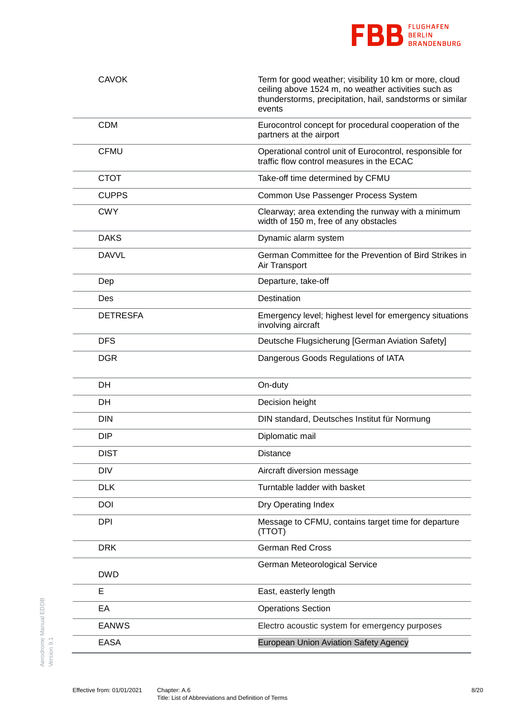

| <b>CAVOK</b>    | Term for good weather; visibility 10 km or more, cloud<br>ceiling above 1524 m, no weather activities such as<br>thunderstorms, precipitation, hail, sandstorms or similar<br>events |
|-----------------|--------------------------------------------------------------------------------------------------------------------------------------------------------------------------------------|
| <b>CDM</b>      | Eurocontrol concept for procedural cooperation of the<br>partners at the airport                                                                                                     |
| <b>CFMU</b>     | Operational control unit of Eurocontrol, responsible for<br>traffic flow control measures in the ECAC                                                                                |
| <b>CTOT</b>     | Take-off time determined by CFMU                                                                                                                                                     |
| <b>CUPPS</b>    | Common Use Passenger Process System                                                                                                                                                  |
| <b>CWY</b>      | Clearway; area extending the runway with a minimum<br>width of 150 m, free of any obstacles                                                                                          |
| <b>DAKS</b>     | Dynamic alarm system                                                                                                                                                                 |
| <b>DAVVL</b>    | German Committee for the Prevention of Bird Strikes in<br>Air Transport                                                                                                              |
| Dep             | Departure, take-off                                                                                                                                                                  |
| Des             | Destination                                                                                                                                                                          |
| <b>DETRESFA</b> | Emergency level; highest level for emergency situations<br>involving aircraft                                                                                                        |
| <b>DFS</b>      | Deutsche Flugsicherung [German Aviation Safety]                                                                                                                                      |
| <b>DGR</b>      | Dangerous Goods Regulations of IATA                                                                                                                                                  |
| DH              | On-duty                                                                                                                                                                              |
| DH              | Decision height                                                                                                                                                                      |
| <b>DIN</b>      | DIN standard, Deutsches Institut für Normung                                                                                                                                         |
| <b>DIP</b>      | Diplomatic mail                                                                                                                                                                      |
| <b>DIST</b>     | Distance                                                                                                                                                                             |
| <b>DIV</b>      | Aircraft diversion message                                                                                                                                                           |
| <b>DLK</b>      | Turntable ladder with basket                                                                                                                                                         |
| DOI             | Dry Operating Index                                                                                                                                                                  |
| <b>DPI</b>      | Message to CFMU, contains target time for departure<br>(TTOT)                                                                                                                        |
| <b>DRK</b>      | <b>German Red Cross</b>                                                                                                                                                              |
| <b>DWD</b>      | German Meteorological Service                                                                                                                                                        |
| E               | East, easterly length                                                                                                                                                                |
| EA              | <b>Operations Section</b>                                                                                                                                                            |
| <b>EANWS</b>    | Electro acoustic system for emergency purposes                                                                                                                                       |
| <b>EASA</b>     | European Union Aviation Safety Agency                                                                                                                                                |
|                 |                                                                                                                                                                                      |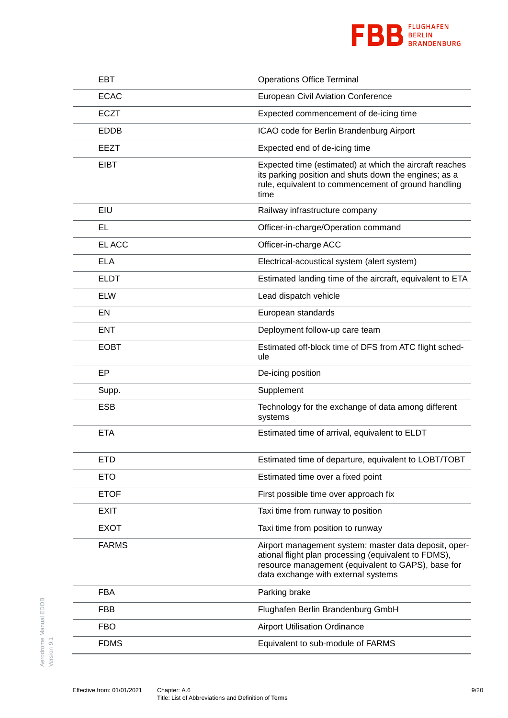

| <b>EBT</b>   | <b>Operations Office Terminal</b>                                                                                                                                                                          |
|--------------|------------------------------------------------------------------------------------------------------------------------------------------------------------------------------------------------------------|
| <b>ECAC</b>  | <b>European Civil Aviation Conference</b>                                                                                                                                                                  |
| <b>ECZT</b>  | Expected commencement of de-icing time                                                                                                                                                                     |
| <b>EDDB</b>  | ICAO code for Berlin Brandenburg Airport                                                                                                                                                                   |
| <b>EEZT</b>  | Expected end of de-icing time                                                                                                                                                                              |
| <b>EIBT</b>  | Expected time (estimated) at which the aircraft reaches<br>its parking position and shuts down the engines; as a<br>rule, equivalent to commencement of ground handling<br>time                            |
| EIU          | Railway infrastructure company                                                                                                                                                                             |
| EL           | Officer-in-charge/Operation command                                                                                                                                                                        |
| EL ACC       | Officer-in-charge ACC                                                                                                                                                                                      |
| <b>ELA</b>   | Electrical-acoustical system (alert system)                                                                                                                                                                |
| <b>ELDT</b>  | Estimated landing time of the aircraft, equivalent to ETA                                                                                                                                                  |
| <b>ELW</b>   | Lead dispatch vehicle                                                                                                                                                                                      |
| EN           | European standards                                                                                                                                                                                         |
| <b>ENT</b>   | Deployment follow-up care team                                                                                                                                                                             |
| <b>EOBT</b>  | Estimated off-block time of DFS from ATC flight sched-<br>ule                                                                                                                                              |
| EP           | De-icing position                                                                                                                                                                                          |
| Supp.        | Supplement                                                                                                                                                                                                 |
| <b>ESB</b>   | Technology for the exchange of data among different<br>systems                                                                                                                                             |
| <b>ETA</b>   | Estimated time of arrival, equivalent to ELDT                                                                                                                                                              |
| <b>ETD</b>   | Estimated time of departure, equivalent to LOBT/TOBT                                                                                                                                                       |
| <b>ETO</b>   | Estimated time over a fixed point                                                                                                                                                                          |
| <b>ETOF</b>  | First possible time over approach fix                                                                                                                                                                      |
| <b>EXIT</b>  | Taxi time from runway to position                                                                                                                                                                          |
| <b>EXOT</b>  | Taxi time from position to runway                                                                                                                                                                          |
| <b>FARMS</b> | Airport management system: master data deposit, oper-<br>ational flight plan processing (equivalent to FDMS),<br>resource management (equivalent to GAPS), base for<br>data exchange with external systems |
| <b>FBA</b>   | Parking brake                                                                                                                                                                                              |
| <b>FBB</b>   | Flughafen Berlin Brandenburg GmbH                                                                                                                                                                          |
| <b>FBO</b>   | <b>Airport Utilisation Ordinance</b>                                                                                                                                                                       |
| <b>FDMS</b>  | Equivalent to sub-module of FARMS                                                                                                                                                                          |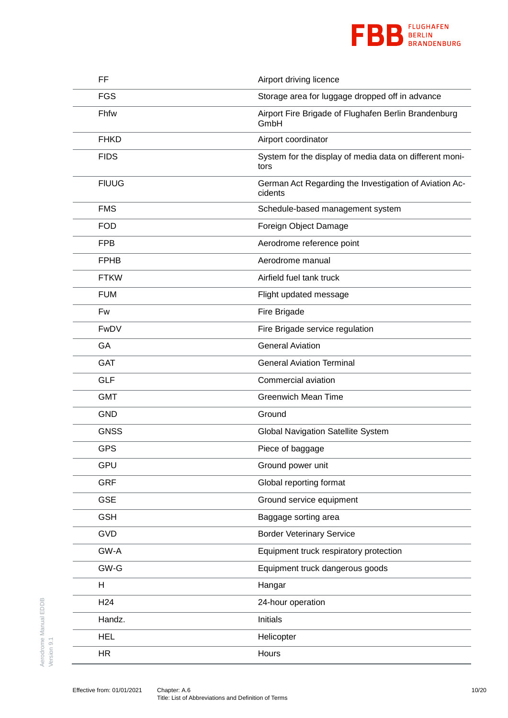

| FF              | Airport driving licence                                           |
|-----------------|-------------------------------------------------------------------|
| <b>FGS</b>      | Storage area for luggage dropped off in advance                   |
| Fhfw            | Airport Fire Brigade of Flughafen Berlin Brandenburg<br>GmbH      |
| <b>FHKD</b>     | Airport coordinator                                               |
| <b>FIDS</b>     | System for the display of media data on different moni-<br>tors   |
| <b>FIUUG</b>    | German Act Regarding the Investigation of Aviation Ac-<br>cidents |
| <b>FMS</b>      | Schedule-based management system                                  |
| <b>FOD</b>      | Foreign Object Damage                                             |
| <b>FPB</b>      | Aerodrome reference point                                         |
| <b>FPHB</b>     | Aerodrome manual                                                  |
| <b>FTKW</b>     | Airfield fuel tank truck                                          |
| <b>FUM</b>      | Flight updated message                                            |
| Fw              | Fire Brigade                                                      |
| FwDV            | Fire Brigade service regulation                                   |
| GA              | <b>General Aviation</b>                                           |
| <b>GAT</b>      | <b>General Aviation Terminal</b>                                  |
| <b>GLF</b>      | Commercial aviation                                               |
| <b>GMT</b>      | <b>Greenwich Mean Time</b>                                        |
| <b>GND</b>      | Ground                                                            |
| <b>GNSS</b>     | <b>Global Navigation Satellite System</b>                         |
| <b>GPS</b>      | Piece of baggage                                                  |
| GPU             | Ground power unit                                                 |
| <b>GRF</b>      | Global reporting format                                           |
| <b>GSE</b>      | Ground service equipment                                          |
| <b>GSH</b>      | Baggage sorting area                                              |
| <b>GVD</b>      | <b>Border Veterinary Service</b>                                  |
| GW-A            | Equipment truck respiratory protection                            |
| GW-G            | Equipment truck dangerous goods                                   |
| Н               | Hangar                                                            |
| H <sub>24</sub> | 24-hour operation                                                 |
| Handz.          | Initials                                                          |
| <b>HEL</b>      | Helicopter                                                        |
| <b>HR</b>       | Hours                                                             |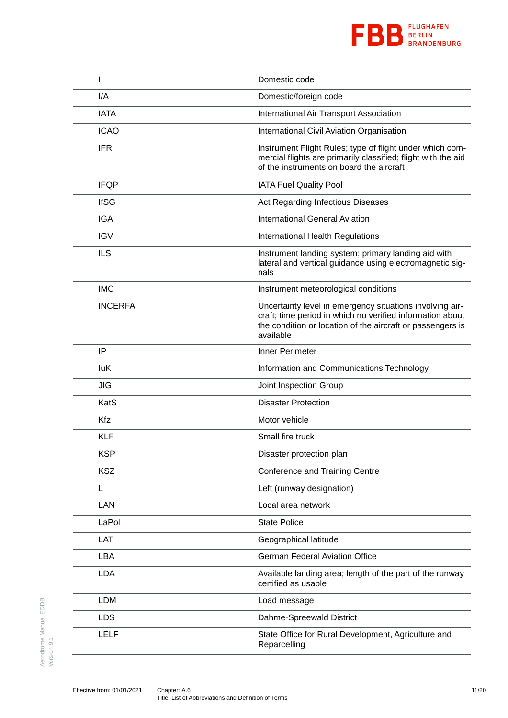

|                | Domestic code                                                                                                                                                                                    |
|----------------|--------------------------------------------------------------------------------------------------------------------------------------------------------------------------------------------------|
| I/A            | Domestic/foreign code                                                                                                                                                                            |
| <b>IATA</b>    | International Air Transport Association                                                                                                                                                          |
| <b>ICAO</b>    | International Civil Aviation Organisation                                                                                                                                                        |
| <b>IFR</b>     | Instrument Flight Rules; type of flight under which com-<br>mercial flights are primarily classified; flight with the aid<br>of the instruments on board the aircraft                            |
| <b>IFQP</b>    | <b>IATA Fuel Quality Pool</b>                                                                                                                                                                    |
| <b>IfSG</b>    | Act Regarding Infectious Diseases                                                                                                                                                                |
| <b>IGA</b>     | <b>International General Aviation</b>                                                                                                                                                            |
| <b>IGV</b>     | International Health Regulations                                                                                                                                                                 |
| <b>ILS</b>     | Instrument landing system; primary landing aid with<br>lateral and vertical guidance using electromagnetic sig-<br>nals                                                                          |
| <b>IMC</b>     | Instrument meteorological conditions                                                                                                                                                             |
| <b>INCERFA</b> | Uncertainty level in emergency situations involving air-<br>craft; time period in which no verified information about<br>the condition or location of the aircraft or passengers is<br>available |
| IP             | Inner Perimeter                                                                                                                                                                                  |
| luK            | Information and Communications Technology                                                                                                                                                        |
| JIG            | Joint Inspection Group                                                                                                                                                                           |
| KatS           | <b>Disaster Protection</b>                                                                                                                                                                       |
| Kfz            | Motor vehicle                                                                                                                                                                                    |
| <b>KLF</b>     | Small fire truck                                                                                                                                                                                 |
| <b>KSP</b>     | Disaster protection plan                                                                                                                                                                         |
| <b>KSZ</b>     | <b>Conference and Training Centre</b>                                                                                                                                                            |
| L              | Left (runway designation)                                                                                                                                                                        |
| LAN            | Local area network                                                                                                                                                                               |
| LaPol          | <b>State Police</b>                                                                                                                                                                              |
| <b>LAT</b>     | Geographical latitude                                                                                                                                                                            |
| <b>LBA</b>     | <b>German Federal Aviation Office</b>                                                                                                                                                            |
| <b>LDA</b>     | Available landing area; length of the part of the runway<br>certified as usable                                                                                                                  |
| <b>LDM</b>     | Load message                                                                                                                                                                                     |
| <b>LDS</b>     | Dahme-Spreewald District                                                                                                                                                                         |
| <b>LELF</b>    | State Office for Rural Development, Agriculture and<br>Reparcelling                                                                                                                              |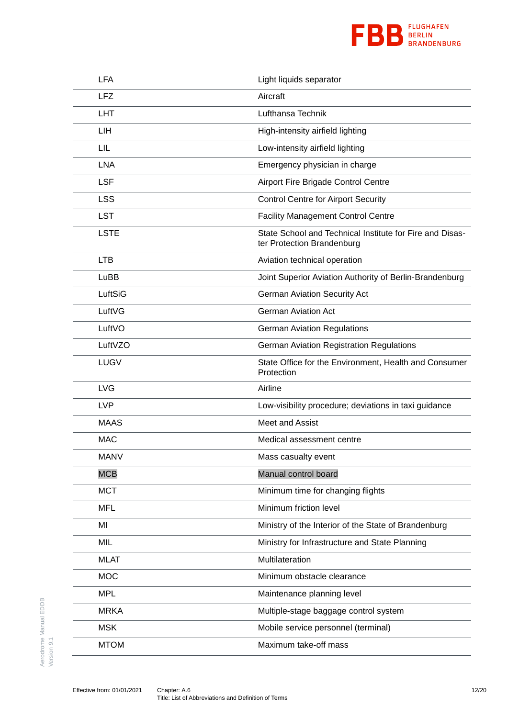

| <b>LFA</b>  | Light liquids separator                                                                |
|-------------|----------------------------------------------------------------------------------------|
| <b>LFZ</b>  | Aircraft                                                                               |
| <b>LHT</b>  | Lufthansa Technik                                                                      |
| LIH         | High-intensity airfield lighting                                                       |
| LIL         | Low-intensity airfield lighting                                                        |
| <b>LNA</b>  | Emergency physician in charge                                                          |
| <b>LSF</b>  | Airport Fire Brigade Control Centre                                                    |
| <b>LSS</b>  | <b>Control Centre for Airport Security</b>                                             |
| <b>LST</b>  | <b>Facility Management Control Centre</b>                                              |
| <b>LSTE</b> | State School and Technical Institute for Fire and Disas-<br>ter Protection Brandenburg |
| <b>LTB</b>  | Aviation technical operation                                                           |
| LuBB        | Joint Superior Aviation Authority of Berlin-Brandenburg                                |
| LuftSiG     | <b>German Aviation Security Act</b>                                                    |
| LuftVG      | <b>German Aviation Act</b>                                                             |
| LuftVO      | <b>German Aviation Regulations</b>                                                     |
| LuftVZO     | <b>German Aviation Registration Regulations</b>                                        |
| <b>LUGV</b> | State Office for the Environment, Health and Consumer<br>Protection                    |
| <b>LVG</b>  | Airline                                                                                |
| <b>LVP</b>  | Low-visibility procedure; deviations in taxi guidance                                  |
| <b>MAAS</b> | Meet and Assist                                                                        |
| <b>MAC</b>  | Medical assessment centre                                                              |
| <b>MANV</b> | Mass casualty event                                                                    |
| <b>MCB</b>  | Manual control board                                                                   |
| <b>MCT</b>  | Minimum time for changing flights                                                      |
| <b>MFL</b>  | Minimum friction level                                                                 |
| MI          | Ministry of the Interior of the State of Brandenburg                                   |
| MIL         | Ministry for Infrastructure and State Planning                                         |
| <b>MLAT</b> | Multilateration                                                                        |
| <b>MOC</b>  | Minimum obstacle clearance                                                             |
| <b>MPL</b>  | Maintenance planning level                                                             |
| <b>MRKA</b> | Multiple-stage baggage control system                                                  |
| <b>MSK</b>  | Mobile service personnel (terminal)                                                    |
| <b>MTOM</b> | Maximum take-off mass                                                                  |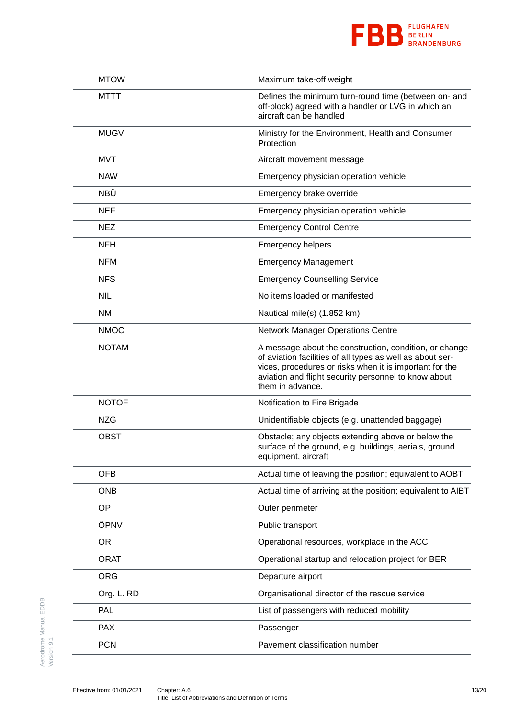

| <b>MTOW</b>  | Maximum take-off weight                                                                                                                                                                                                                                    |
|--------------|------------------------------------------------------------------------------------------------------------------------------------------------------------------------------------------------------------------------------------------------------------|
| MTTT         | Defines the minimum turn-round time (between on- and<br>off-block) agreed with a handler or LVG in which an<br>aircraft can be handled                                                                                                                     |
| <b>MUGV</b>  | Ministry for the Environment, Health and Consumer<br>Protection                                                                                                                                                                                            |
| <b>MVT</b>   | Aircraft movement message                                                                                                                                                                                                                                  |
| <b>NAW</b>   | Emergency physician operation vehicle                                                                                                                                                                                                                      |
| NBÜ          | Emergency brake override                                                                                                                                                                                                                                   |
| <b>NEF</b>   | Emergency physician operation vehicle                                                                                                                                                                                                                      |
| <b>NEZ</b>   | <b>Emergency Control Centre</b>                                                                                                                                                                                                                            |
| <b>NFH</b>   | <b>Emergency helpers</b>                                                                                                                                                                                                                                   |
| <b>NFM</b>   | <b>Emergency Management</b>                                                                                                                                                                                                                                |
| <b>NFS</b>   | <b>Emergency Counselling Service</b>                                                                                                                                                                                                                       |
| <b>NIL</b>   | No items loaded or manifested                                                                                                                                                                                                                              |
| <b>NM</b>    | Nautical mile(s) (1.852 km)                                                                                                                                                                                                                                |
| <b>NMOC</b>  | <b>Network Manager Operations Centre</b>                                                                                                                                                                                                                   |
| <b>NOTAM</b> | A message about the construction, condition, or change<br>of aviation facilities of all types as well as about ser-<br>vices, procedures or risks when it is important for the<br>aviation and flight security personnel to know about<br>them in advance. |
| <b>NOTOF</b> | Notification to Fire Brigade                                                                                                                                                                                                                               |
| <b>NZG</b>   | Unidentifiable objects (e.g. unattended baggage)                                                                                                                                                                                                           |
| <b>OBST</b>  | Obstacle; any objects extending above or below the<br>surface of the ground, e.g. buildings, aerials, ground<br>equipment, aircraft                                                                                                                        |
| <b>OFB</b>   | Actual time of leaving the position; equivalent to AOBT                                                                                                                                                                                                    |
| <b>ONB</b>   | Actual time of arriving at the position; equivalent to AIBT                                                                                                                                                                                                |
| OP           | Outer perimeter                                                                                                                                                                                                                                            |
| ÖPNV         | Public transport                                                                                                                                                                                                                                           |
| <b>OR</b>    | Operational resources, workplace in the ACC                                                                                                                                                                                                                |
| <b>ORAT</b>  | Operational startup and relocation project for BER                                                                                                                                                                                                         |
| <b>ORG</b>   | Departure airport                                                                                                                                                                                                                                          |
| Org. L. RD   | Organisational director of the rescue service                                                                                                                                                                                                              |
| <b>PAL</b>   | List of passengers with reduced mobility                                                                                                                                                                                                                   |
| <b>PAX</b>   | Passenger                                                                                                                                                                                                                                                  |
| <b>PCN</b>   | Pavement classification number                                                                                                                                                                                                                             |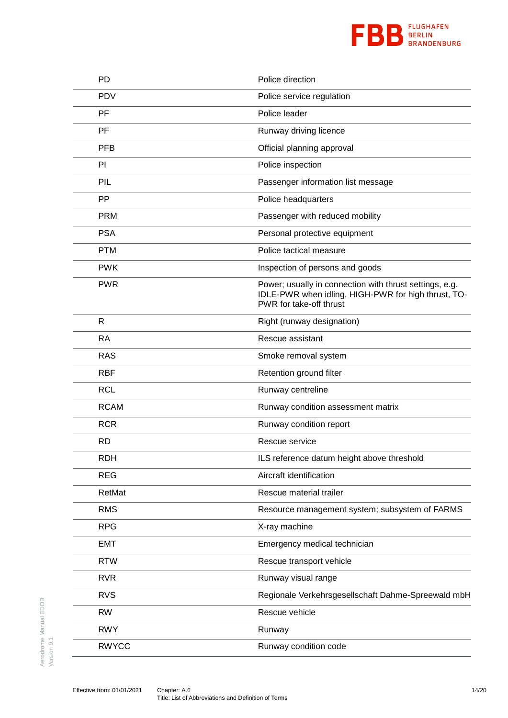

| PD           | Police direction                                                                                                                          |
|--------------|-------------------------------------------------------------------------------------------------------------------------------------------|
| <b>PDV</b>   | Police service regulation                                                                                                                 |
| PF           | Police leader                                                                                                                             |
| PF           | Runway driving licence                                                                                                                    |
| <b>PFB</b>   | Official planning approval                                                                                                                |
| PI           | Police inspection                                                                                                                         |
| PIL          | Passenger information list message                                                                                                        |
| <b>PP</b>    | Police headquarters                                                                                                                       |
| <b>PRM</b>   | Passenger with reduced mobility                                                                                                           |
| <b>PSA</b>   | Personal protective equipment                                                                                                             |
| <b>PTM</b>   | Police tactical measure                                                                                                                   |
| <b>PWK</b>   | Inspection of persons and goods                                                                                                           |
| <b>PWR</b>   | Power; usually in connection with thrust settings, e.g.<br>IDLE-PWR when idling, HIGH-PWR for high thrust, TO-<br>PWR for take-off thrust |
| $\mathsf{R}$ | Right (runway designation)                                                                                                                |
| <b>RA</b>    | Rescue assistant                                                                                                                          |
| <b>RAS</b>   | Smoke removal system                                                                                                                      |
| <b>RBF</b>   | Retention ground filter                                                                                                                   |
| <b>RCL</b>   | Runway centreline                                                                                                                         |
| <b>RCAM</b>  | Runway condition assessment matrix                                                                                                        |
| <b>RCR</b>   | Runway condition report                                                                                                                   |
| <b>RD</b>    | Rescue service                                                                                                                            |
| <b>RDH</b>   | ILS reference datum height above threshold                                                                                                |
| <b>REG</b>   | Aircraft identification                                                                                                                   |
| RetMat       | Rescue material trailer                                                                                                                   |
| <b>RMS</b>   | Resource management system; subsystem of FARMS                                                                                            |
| <b>RPG</b>   | X-ray machine                                                                                                                             |
| <b>EMT</b>   | Emergency medical technician                                                                                                              |
| <b>RTW</b>   | Rescue transport vehicle                                                                                                                  |
| <b>RVR</b>   | Runway visual range                                                                                                                       |
| <b>RVS</b>   | Regionale Verkehrsgesellschaft Dahme-Spreewald mbH                                                                                        |
| <b>RW</b>    | Rescue vehicle                                                                                                                            |
| <b>RWY</b>   | Runway                                                                                                                                    |
| <b>RWYCC</b> | Runway condition code                                                                                                                     |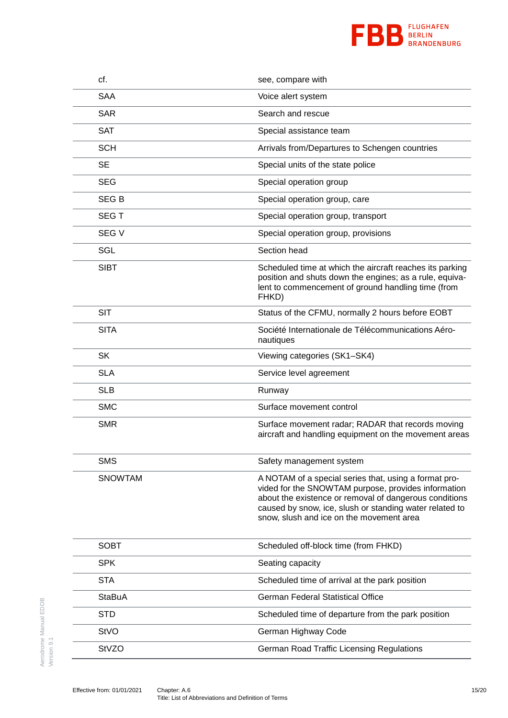

| cf.            | see, compare with                                                                                                                                                                                                                                                             |
|----------------|-------------------------------------------------------------------------------------------------------------------------------------------------------------------------------------------------------------------------------------------------------------------------------|
| <b>SAA</b>     | Voice alert system                                                                                                                                                                                                                                                            |
| <b>SAR</b>     | Search and rescue                                                                                                                                                                                                                                                             |
| <b>SAT</b>     | Special assistance team                                                                                                                                                                                                                                                       |
| <b>SCH</b>     | Arrivals from/Departures to Schengen countries                                                                                                                                                                                                                                |
| <b>SE</b>      | Special units of the state police                                                                                                                                                                                                                                             |
| <b>SEG</b>     | Special operation group                                                                                                                                                                                                                                                       |
| <b>SEGB</b>    | Special operation group, care                                                                                                                                                                                                                                                 |
| <b>SEGT</b>    | Special operation group, transport                                                                                                                                                                                                                                            |
| SEG V          | Special operation group, provisions                                                                                                                                                                                                                                           |
| SGL            | Section head                                                                                                                                                                                                                                                                  |
| <b>SIBT</b>    | Scheduled time at which the aircraft reaches its parking<br>position and shuts down the engines; as a rule, equiva-<br>lent to commencement of ground handling time (from<br>FHKD)                                                                                            |
| <b>SIT</b>     | Status of the CFMU, normally 2 hours before EOBT                                                                                                                                                                                                                              |
| <b>SITA</b>    | Société Internationale de Télécommunications Aéro-<br>nautiques                                                                                                                                                                                                               |
| <b>SK</b>      | Viewing categories (SK1-SK4)                                                                                                                                                                                                                                                  |
| <b>SLA</b>     | Service level agreement                                                                                                                                                                                                                                                       |
| <b>SLB</b>     | Runway                                                                                                                                                                                                                                                                        |
| <b>SMC</b>     | Surface movement control                                                                                                                                                                                                                                                      |
| <b>SMR</b>     | Surface movement radar; RADAR that records moving<br>aircraft and handling equipment on the movement areas                                                                                                                                                                    |
| <b>SMS</b>     | Safety management system                                                                                                                                                                                                                                                      |
| <b>SNOWTAM</b> | A NOTAM of a special series that, using a format pro-<br>vided for the SNOWTAM purpose, provides information<br>about the existence or removal of dangerous conditions<br>caused by snow, ice, slush or standing water related to<br>snow, slush and ice on the movement area |
| <b>SOBT</b>    | Scheduled off-block time (from FHKD)                                                                                                                                                                                                                                          |
| <b>SPK</b>     | Seating capacity                                                                                                                                                                                                                                                              |
| <b>STA</b>     | Scheduled time of arrival at the park position                                                                                                                                                                                                                                |
| <b>StaBuA</b>  | <b>German Federal Statistical Office</b>                                                                                                                                                                                                                                      |
| <b>STD</b>     | Scheduled time of departure from the park position                                                                                                                                                                                                                            |
| StVO           | German Highway Code                                                                                                                                                                                                                                                           |
| StVZO          | German Road Traffic Licensing Regulations                                                                                                                                                                                                                                     |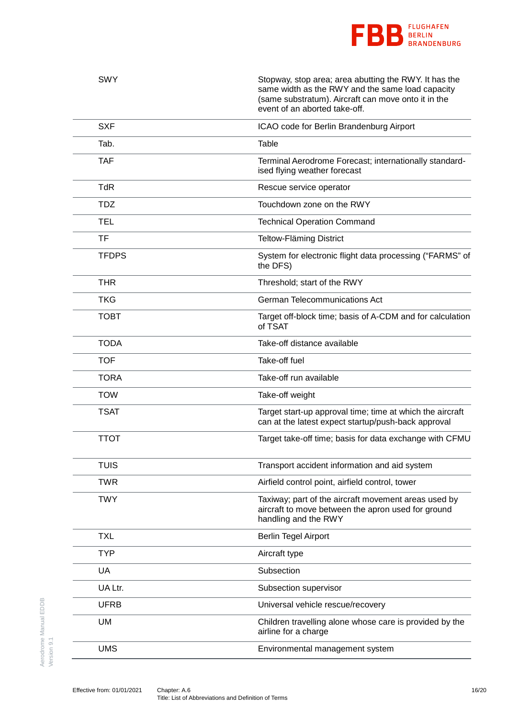

| <b>SWY</b>   | Stopway, stop area; area abutting the RWY. It has the<br>same width as the RWY and the same load capacity<br>(same substratum). Aircraft can move onto it in the<br>event of an aborted take-off. |
|--------------|---------------------------------------------------------------------------------------------------------------------------------------------------------------------------------------------------|
| <b>SXF</b>   | ICAO code for Berlin Brandenburg Airport                                                                                                                                                          |
| Tab.         | Table                                                                                                                                                                                             |
| <b>TAF</b>   | Terminal Aerodrome Forecast; internationally standard-<br>ised flying weather forecast                                                                                                            |
| <b>TdR</b>   | Rescue service operator                                                                                                                                                                           |
| <b>TDZ</b>   | Touchdown zone on the RWY                                                                                                                                                                         |
| TEL          | <b>Technical Operation Command</b>                                                                                                                                                                |
| <b>TF</b>    | <b>Teltow-Fläming District</b>                                                                                                                                                                    |
| <b>TFDPS</b> | System for electronic flight data processing ("FARMS" of<br>the DFS)                                                                                                                              |
| THR          | Threshold; start of the RWY                                                                                                                                                                       |
| <b>TKG</b>   | German Telecommunications Act                                                                                                                                                                     |
| <b>TOBT</b>  | Target off-block time; basis of A-CDM and for calculation<br>of TSAT                                                                                                                              |
| <b>TODA</b>  | Take-off distance available                                                                                                                                                                       |
| <b>TOF</b>   | Take-off fuel                                                                                                                                                                                     |
| <b>TORA</b>  | Take-off run available                                                                                                                                                                            |
| <b>TOW</b>   | Take-off weight                                                                                                                                                                                   |
| <b>TSAT</b>  | Target start-up approval time; time at which the aircraft<br>can at the latest expect startup/push-back approval                                                                                  |
| <b>TTOT</b>  | Target take-off time; basis for data exchange with CFMU                                                                                                                                           |
| <b>TUIS</b>  | Transport accident information and aid system                                                                                                                                                     |
| <b>TWR</b>   | Airfield control point, airfield control, tower                                                                                                                                                   |
| <b>TWY</b>   | Taxiway; part of the aircraft movement areas used by<br>aircraft to move between the apron used for ground<br>handling and the RWY                                                                |
| <b>TXL</b>   | <b>Berlin Tegel Airport</b>                                                                                                                                                                       |
| <b>TYP</b>   | Aircraft type                                                                                                                                                                                     |
| UA           | Subsection                                                                                                                                                                                        |
| UA Ltr.      | Subsection supervisor                                                                                                                                                                             |
| <b>UFRB</b>  | Universal vehicle rescue/recovery                                                                                                                                                                 |
| <b>UM</b>    | Children travelling alone whose care is provided by the<br>airline for a charge                                                                                                                   |
| <b>UMS</b>   | Environmental management system                                                                                                                                                                   |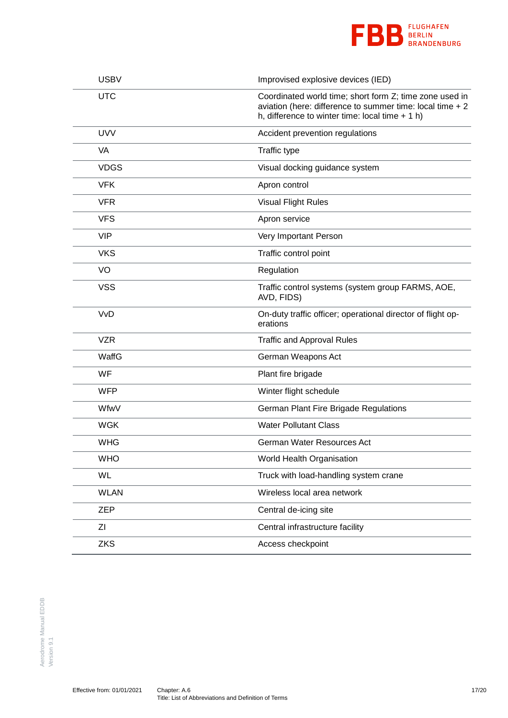

| <b>USBV</b> | Improvised explosive devices (IED)                                                                                                                                        |
|-------------|---------------------------------------------------------------------------------------------------------------------------------------------------------------------------|
| <b>UTC</b>  | Coordinated world time; short form Z; time zone used in<br>aviation (here: difference to summer time: local time $+2$<br>h, difference to winter time: local time $+1$ h) |
| <b>UVV</b>  | Accident prevention regulations                                                                                                                                           |
| <b>VA</b>   | Traffic type                                                                                                                                                              |
| <b>VDGS</b> | Visual docking guidance system                                                                                                                                            |
| <b>VFK</b>  | Apron control                                                                                                                                                             |
| <b>VFR</b>  | <b>Visual Flight Rules</b>                                                                                                                                                |
| <b>VFS</b>  | Apron service                                                                                                                                                             |
| <b>VIP</b>  | Very Important Person                                                                                                                                                     |
| <b>VKS</b>  | Traffic control point                                                                                                                                                     |
| VO          | Regulation                                                                                                                                                                |
| <b>VSS</b>  | Traffic control systems (system group FARMS, AOE,<br>AVD, FIDS)                                                                                                           |
| <b>VvD</b>  | On-duty traffic officer; operational director of flight op-<br>erations                                                                                                   |
| <b>VZR</b>  | <b>Traffic and Approval Rules</b>                                                                                                                                         |
| WaffG       | German Weapons Act                                                                                                                                                        |
| WF          | Plant fire brigade                                                                                                                                                        |
| <b>WFP</b>  | Winter flight schedule                                                                                                                                                    |
| WfwV        | German Plant Fire Brigade Regulations                                                                                                                                     |
| <b>WGK</b>  | <b>Water Pollutant Class</b>                                                                                                                                              |
| <b>WHG</b>  | German Water Resources Act                                                                                                                                                |
| <b>WHO</b>  | World Health Organisation                                                                                                                                                 |
| WL          | Truck with load-handling system crane                                                                                                                                     |
| <b>WLAN</b> | Wireless local area network                                                                                                                                               |
| <b>ZEP</b>  | Central de-icing site                                                                                                                                                     |
| ΖI          | Central infrastructure facility                                                                                                                                           |
| <b>ZKS</b>  | Access checkpoint                                                                                                                                                         |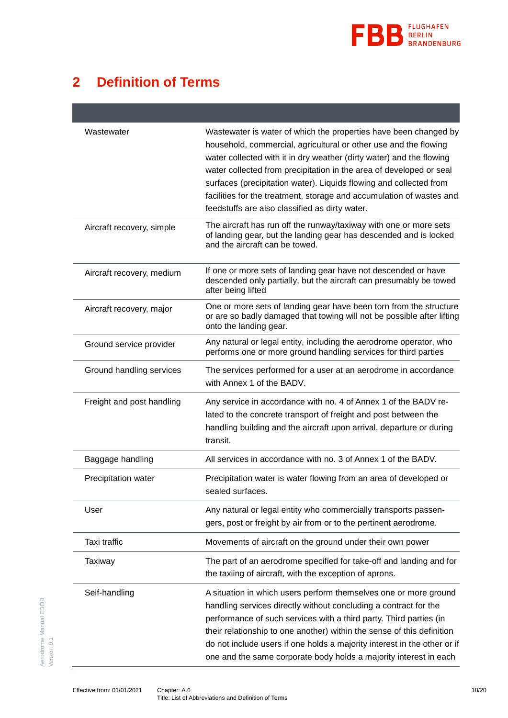

### <span id="page-17-0"></span>**2 Definition of Terms**

| Wastewater                | Wastewater is water of which the properties have been changed by<br>household, commercial, agricultural or other use and the flowing<br>water collected with it in dry weather (dirty water) and the flowing<br>water collected from precipitation in the area of developed or seal<br>surfaces (precipitation water). Liquids flowing and collected from<br>facilities for the treatment, storage and accumulation of wastes and<br>feedstuffs are also classified as dirty water. |
|---------------------------|-------------------------------------------------------------------------------------------------------------------------------------------------------------------------------------------------------------------------------------------------------------------------------------------------------------------------------------------------------------------------------------------------------------------------------------------------------------------------------------|
| Aircraft recovery, simple | The aircraft has run off the runway/taxiway with one or more sets<br>of landing gear, but the landing gear has descended and is locked<br>and the aircraft can be towed.                                                                                                                                                                                                                                                                                                            |
| Aircraft recovery, medium | If one or more sets of landing gear have not descended or have<br>descended only partially, but the aircraft can presumably be towed<br>after being lifted                                                                                                                                                                                                                                                                                                                          |
| Aircraft recovery, major  | One or more sets of landing gear have been torn from the structure<br>or are so badly damaged that towing will not be possible after lifting<br>onto the landing gear.                                                                                                                                                                                                                                                                                                              |
| Ground service provider   | Any natural or legal entity, including the aerodrome operator, who<br>performs one or more ground handling services for third parties                                                                                                                                                                                                                                                                                                                                               |
| Ground handling services  | The services performed for a user at an aerodrome in accordance<br>with Annex 1 of the BADV.                                                                                                                                                                                                                                                                                                                                                                                        |
| Freight and post handling | Any service in accordance with no. 4 of Annex 1 of the BADV re-<br>lated to the concrete transport of freight and post between the<br>handling building and the aircraft upon arrival, departure or during<br>transit.                                                                                                                                                                                                                                                              |
| Baggage handling          | All services in accordance with no. 3 of Annex 1 of the BADV.                                                                                                                                                                                                                                                                                                                                                                                                                       |
| Precipitation water       | Precipitation water is water flowing from an area of developed or<br>sealed surfaces.                                                                                                                                                                                                                                                                                                                                                                                               |
| User                      | Any natural or legal entity who commercially transports passen-<br>gers, post or freight by air from or to the pertinent aerodrome.                                                                                                                                                                                                                                                                                                                                                 |
| Taxi traffic              | Movements of aircraft on the ground under their own power                                                                                                                                                                                                                                                                                                                                                                                                                           |
| Taxiway                   | The part of an aerodrome specified for take-off and landing and for<br>the taxiing of aircraft, with the exception of aprons.                                                                                                                                                                                                                                                                                                                                                       |
| Self-handling             | A situation in which users perform themselves one or more ground<br>handling services directly without concluding a contract for the<br>performance of such services with a third party. Third parties (in<br>their relationship to one another) within the sense of this definition<br>do not include users if one holds a majority interest in the other or if<br>one and the same corporate body holds a majority interest in each                                               |

Version 9.1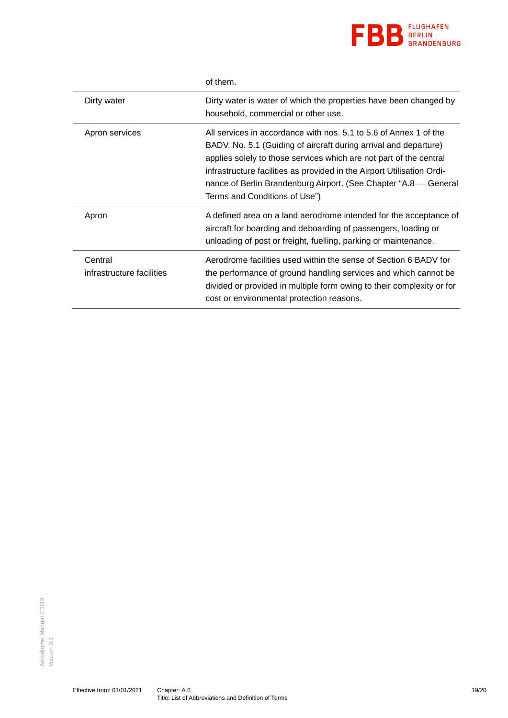

|                                      | of them.                                                                                                                                                                                                                                                                                                                                                                                   |
|--------------------------------------|--------------------------------------------------------------------------------------------------------------------------------------------------------------------------------------------------------------------------------------------------------------------------------------------------------------------------------------------------------------------------------------------|
| Dirty water                          | Dirty water is water of which the properties have been changed by<br>household, commercial or other use.                                                                                                                                                                                                                                                                                   |
| Apron services                       | All services in accordance with nos. 5.1 to 5.6 of Annex 1 of the<br>BADV. No. 5.1 (Guiding of aircraft during arrival and departure)<br>applies solely to those services which are not part of the central<br>infrastructure facilities as provided in the Airport Utilisation Ordi-<br>nance of Berlin Brandenburg Airport. (See Chapter "A.8 — General<br>Terms and Conditions of Use") |
| Apron                                | A defined area on a land aerodrome intended for the acceptance of<br>aircraft for boarding and deboarding of passengers, loading or<br>unloading of post or freight, fuelling, parking or maintenance.                                                                                                                                                                                     |
| Central<br>infrastructure facilities | Aerodrome facilities used within the sense of Section 6 BADV for<br>the performance of ground handling services and which cannot be<br>divided or provided in multiple form owing to their complexity or for<br>cost or environmental protection reasons.                                                                                                                                  |